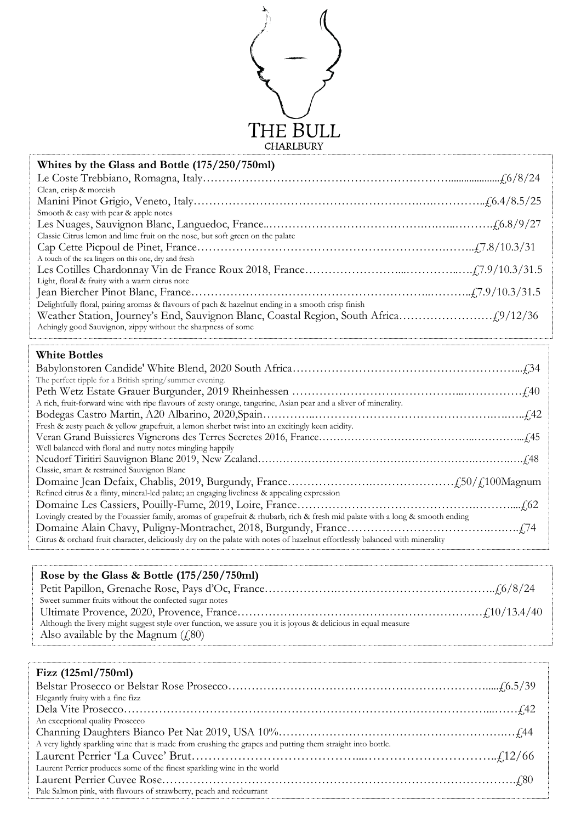

| Whites by the Glass and Bottle (175/250/750ml)                                                                                |
|-------------------------------------------------------------------------------------------------------------------------------|
|                                                                                                                               |
| Clean, crisp & moreish                                                                                                        |
|                                                                                                                               |
| Smooth & easy with pear & apple notes                                                                                         |
|                                                                                                                               |
| Classic Citrus lemon and lime fruit on the nose, but soft green on the palate                                                 |
| A touch of the sea lingers on this one, dry and fresh                                                                         |
|                                                                                                                               |
| Light, floral & fruity with a warm citrus note                                                                                |
|                                                                                                                               |
| Delightfully floral, pairing aromas & flavours of pach & hazelnut ending in a smooth crisp finish                             |
|                                                                                                                               |
| Achingly good Sauvignon, zippy without the sharpness of some                                                                  |
|                                                                                                                               |
| <b>White Bottles</b>                                                                                                          |
|                                                                                                                               |
|                                                                                                                               |
| The perfect tipple for a British spring/summer evening.                                                                       |
|                                                                                                                               |
| A rich, fruit-forward wine with ripe flavours of zesty orange, tangerine, Asian pear and a sliver of minerality.              |
|                                                                                                                               |
| Fresh & zesty peach & yellow grapefruit, a lemon sherbet twist into an excitingly keen acidity.                               |
|                                                                                                                               |
| Well balanced with floral and nutty notes mingling happily                                                                    |
|                                                                                                                               |
| Classic, smart & restrained Sauvignon Blanc                                                                                   |
|                                                                                                                               |
| Refined citrus & a flinty, mineral-led palate; an engaging liveliness & appealing expression                                  |
|                                                                                                                               |
| Lovingly created by the Fouassier family, aromas of grapefruit & rhubarb, rich & fresh mid palate with a long & smooth ending |
| Citrus & orchard fruit character, deliciously dry on the palate with notes of hazelnut effortlessly balanced with minerality  |

| Rose by the Glass & Bottle $(175/250/750 \text{ml})$                                                           |  |  |
|----------------------------------------------------------------------------------------------------------------|--|--|
|                                                                                                                |  |  |
| Sweet summer fruits without the confected sugar notes                                                          |  |  |
|                                                                                                                |  |  |
| Although the livery might suggest style over function, we assure you it is joyous & delicious in equal measure |  |  |
| Also available by the Magnum $(f, 80)$                                                                         |  |  |

## **Fizz (125ml/750ml)**

| Elegantly fruity with a fine fizz                                                                          |
|------------------------------------------------------------------------------------------------------------|
|                                                                                                            |
| An exceptional quality Prosecco                                                                            |
|                                                                                                            |
| A very lightly sparkling wine that is made from crushing the grapes and putting them straight into bottle. |
|                                                                                                            |
| Laurent Perrier produces some of the finest sparkling wine in the world                                    |
|                                                                                                            |
| Pale Salmon pink, with flavours of strawberry, peach and redcurrant                                        |